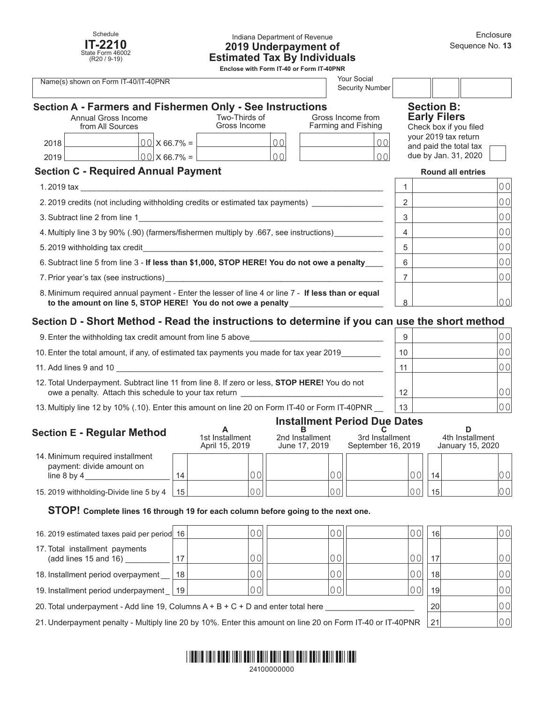

#### Indiana Department of Revenue **2019 Underpayment of Estimated Tax By Individuals**

**Enclose with Form IT-40 or Form IT-40PNR**

| <b>Your Social</b><br>Name(s) shown on Form IT-40/IT-40PNR<br><b>Security Number</b>                                                                                                                                                                                                  |  |                      |                |   |                                                                    |                          |                                                |                |
|---------------------------------------------------------------------------------------------------------------------------------------------------------------------------------------------------------------------------------------------------------------------------------------|--|----------------------|----------------|---|--------------------------------------------------------------------|--------------------------|------------------------------------------------|----------------|
| Section A - Farmers and Fishermen Only - See Instructions<br>Gross Income from<br>Two-Thirds of<br>Annual Gross Income<br>Farming and Fishing<br>Gross Income<br>from All Sources                                                                                                     |  |                      |                |   | <b>Section B:</b><br><b>Early Filers</b><br>Check box if you filed |                          |                                                |                |
| 2018                                                                                                                                                                                                                                                                                  |  | $00 \times 66.7\% =$ | 00             |   | 0 <sub>0</sub>                                                     |                          | your 2019 tax return<br>and paid the total tax |                |
| 2019                                                                                                                                                                                                                                                                                  |  | $00 \times 66.7\% =$ | 0 <sup>0</sup> |   | $\cap$ $\cap$                                                      |                          | due by Jan. 31, 2020                           |                |
| <b>Section C - Required Annual Payment</b>                                                                                                                                                                                                                                            |  |                      |                |   |                                                                    | <b>Round all entries</b> |                                                |                |
| 1.2019 tax                                                                                                                                                                                                                                                                            |  |                      |                |   |                                                                    |                          |                                                | 00             |
| 2.2019 credits (not including withholding credits or estimated tax payments)                                                                                                                                                                                                          |  |                      |                |   | 2                                                                  |                          | 0 <sub>0</sub>                                 |                |
| 3. Subtract line 2 from line 1 <b>All 2</b> from $\frac{1}{2}$ <b>Contract 1</b> and 2 from $\frac{1}{2}$ <b>Contract 1</b> and 2 from $\frac{1}{2}$ <b>Contract 1</b> and 2 from $\frac{1}{2}$ <b>Contract 1</b> and 2 from $\frac{1}{2}$ <b>Contract 1</b> and 2 from $\frac{1}{2}$ |  |                      |                |   |                                                                    | 3                        |                                                | 0 <sub>0</sub> |
| 4. Multiply line 3 by 90% (.90) (farmers/fishermen multiply by .667, see instructions)                                                                                                                                                                                                |  |                      |                |   |                                                                    | 4                        |                                                | 0 <sub>0</sub> |
|                                                                                                                                                                                                                                                                                       |  |                      |                |   | 5                                                                  |                          | 0 <sub>0</sub>                                 |                |
| 6. Subtract line 5 from line 3 - If less than \$1,000, STOP HERE! You do not owe a penalty                                                                                                                                                                                            |  |                      |                |   | 6                                                                  |                          | 0 <sub>0</sub>                                 |                |
| 7. Prior year's tax (see instructions)                                                                                                                                                                                                                                                |  |                      |                |   | 7                                                                  |                          | 0 <sub>0</sub>                                 |                |
| 8. Minimum required annual payment - Enter the lesser of line 4 or line 7 - If less than or equal<br>to the amount on line 5, STOP HERE! You do not owe a penalty                                                                                                                     |  |                      |                | 8 |                                                                    | 0 <sup>0</sup>           |                                                |                |

# **Section D - Short Method - Read the instructions to determine if you can use the short method**

| 9. Enter the withholding tax credit amount from line 5 above                                                                                           | 9  | 0 O I          |
|--------------------------------------------------------------------------------------------------------------------------------------------------------|----|----------------|
| 10. Enter the total amount, if any, of estimated tax payments you made for tax year 2019                                                               | 10 | 0 <sup>0</sup> |
| 11. Add lines 9 and 10                                                                                                                                 | 11 |                |
| 12. Total Underpayment. Subtract line 11 from line 8. If zero or less, STOP HERE! You do not<br>owe a penalty. Attach this schedule to your tax return | 12 |                |
| 13. Multiply line 12 by 10% (.10). Enter this amount on line 20 on Form IT-40 or Form IT-40PNR                                                         | 13 |                |

## **Installment Period Due Dates**

| <b>Section E - Regular Method</b>                                                |                 | 1st Installment<br>April 15, 2019 | 2nd Installment<br>June 17, 2019 | 3rd Installment<br>September 16, 2019 |    | 4th Installment<br>January 15, 2020 |  |
|----------------------------------------------------------------------------------|-----------------|-----------------------------------|----------------------------------|---------------------------------------|----|-------------------------------------|--|
| 14. Minimum required installment<br>payment: divide amount on<br>line $8$ by $4$ | 14              |                                   |                                  | $\bigcap \bigcap$                     | 14 | 00                                  |  |
| 15. 2019 withholding-Divide line 5 by 4                                          | 15 <sup>1</sup> |                                   |                                  | $\cap$ $\cap$                         | 15 | 00                                  |  |

#### **STOP! Complete lines 16 through 19 for each column before going to the next one.**

| 16. 2019 estimated taxes paid per period 16                                                                |    |    |  | 0 O I | 16 <sup>1</sup> | 00  |
|------------------------------------------------------------------------------------------------------------|----|----|--|-------|-----------------|-----|
| 17. Total installment payments<br>(add lines 15 and 16)                                                    |    | 00 |  | 00    | 17              | 00  |
| 18. Installment period overpayment                                                                         | 18 |    |  | 001   | 18 <sup>l</sup> | ,00 |
| 19. Installment period underpayment   19                                                                   |    | 00 |  | 001   | 19 <sup>1</sup> | 00  |
| 20. Total underpayment - Add line 19, Columns $A + B + C + D$ and enter total here                         |    |    |  |       | 20              | 00  |
| 21. Underpayment penalty - Multiply line 20 by 10%. Enter this amount on line 20 on Form IT-40 or IT-40PNR |    |    |  |       | 21              | 00  |

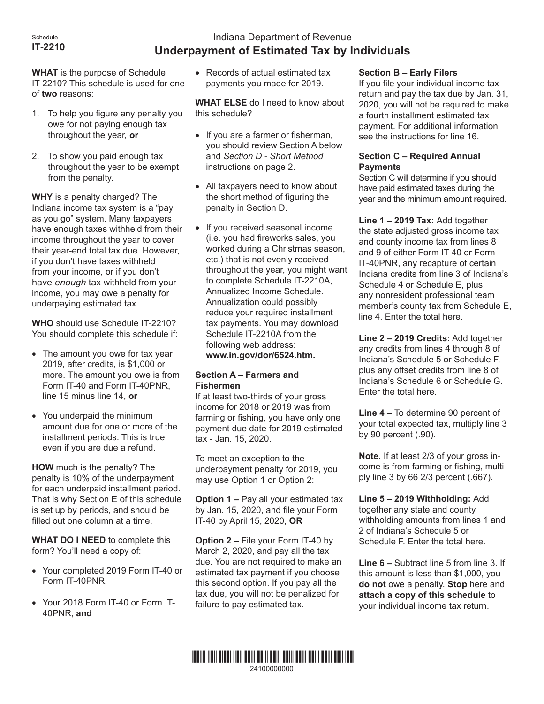#### Schedule **IT-2210**

# Indiana Department of Revenue **Underpayment of Estimated Tax by Individuals**

**WHAT** is the purpose of Schedule IT-2210? This schedule is used for one of **two** reasons:

- 1. To help you figure any penalty you owe for not paying enough tax throughout the year, **or**
- 2. To show you paid enough tax throughout the year to be exempt from the penalty.

**WHY** is a penalty charged? The Indiana income tax system is a "pay as you go" system. Many taxpayers have enough taxes withheld from their income throughout the year to cover their year-end total tax due. However, if you don't have taxes withheld from your income, or if you don't have *enough* tax withheld from your income, you may owe a penalty for underpaying estimated tax.

**WHO** should use Schedule IT-2210? You should complete this schedule if:

- The amount you owe for tax year 2019, after credits, is \$1,000 or more. The amount you owe is from Form IT-40 and Form IT-40PNR, line 15 minus line 14, **or**
- • You underpaid the minimum amount due for one or more of the installment periods. This is true even if you are due a refund.

**HOW** much is the penalty? The penalty is 10% of the underpayment for each underpaid installment period. That is why Section E of this schedule is set up by periods, and should be filled out one column at a time.

**WHAT DO I NEED** to complete this form? You'll need a copy of:

- • Your completed 2019 Form IT-40 or Form IT-40PNR,
- Your 2018 Form IT-40 or Form IT-40PNR, **and**

• Records of actual estimated tax payments you made for 2019.

**WHAT ELSE** do I need to know about this schedule?

- If you are a farmer or fisherman, you should review Section A below and *Section D - Short Method* instructions on page 2.
- All taxpayers need to know about the short method of figuring the penalty in Section D.
- If you received seasonal income (i.e. you had fireworks sales, you worked during a Christmas season, etc.) that is not evenly received throughout the year, you might want to complete Schedule IT-2210A, Annualized Income Schedule. Annualization could possibly reduce your required installment tax payments. You may download Schedule IT-2210A from the following web address: **www.in.gov/dor/6524.htm.**

## **Section A – Farmers and Fishermen**

If at least two-thirds of your gross income for 2018 or 2019 was from farming or fishing, you have only one payment due date for 2019 estimated tax - Jan. 15, 2020.

To meet an exception to the underpayment penalty for 2019, you may use Option 1 or Option 2:

**Option 1 –** Pay all your estimated tax by Jan. 15, 2020, and file your Form IT-40 by April 15, 2020, **OR**

**Option 2 –** File your Form IT-40 by March 2, 2020, and pay all the tax due. You are not required to make an estimated tax payment if you choose this second option. If you pay all the tax due, you will not be penalized for failure to pay estimated tax.

## **Section B – Early Filers**

If you file your individual income tax return and pay the tax due by Jan. 31, 2020, you will not be required to make a fourth installment estimated tax payment. For additional information see the instructions for line 16.

### **Section C – Required Annual Payments**

Section C will determine if you should have paid estimated taxes during the year and the minimum amount required.

**Line 1 – 2019 Tax:** Add together the state adjusted gross income tax and county income tax from lines 8 and 9 of either Form IT-40 or Form IT-40PNR, any recapture of certain Indiana credits from line 3 of Indiana's Schedule 4 or Schedule E, plus any nonresident professional team member's county tax from Schedule E, line 4. Enter the total here.

**Line 2 – 2019 Credits:** Add together any credits from lines 4 through 8 of Indiana's Schedule 5 or Schedule F, plus any offset credits from line 8 of Indiana's Schedule 6 or Schedule G. Enter the total here.

**Line 4 –** To determine 90 percent of your total expected tax, multiply line 3 by 90 percent (.90).

**Note.** If at least 2/3 of your gross income is from farming or fishing, multiply line 3 by 66 2/3 percent (.667).

**Line 5 – 2019 Withholding:** Add together any state and county withholding amounts from lines 1 and 2 of Indiana's Schedule 5 or Schedule F. Enter the total here.

**Line 6 –** Subtract line 5 from line 3. If this amount is less than \$1,000, you **do not** owe a penalty. **Stop** here and **attach a copy of this schedule** to your individual income tax return.

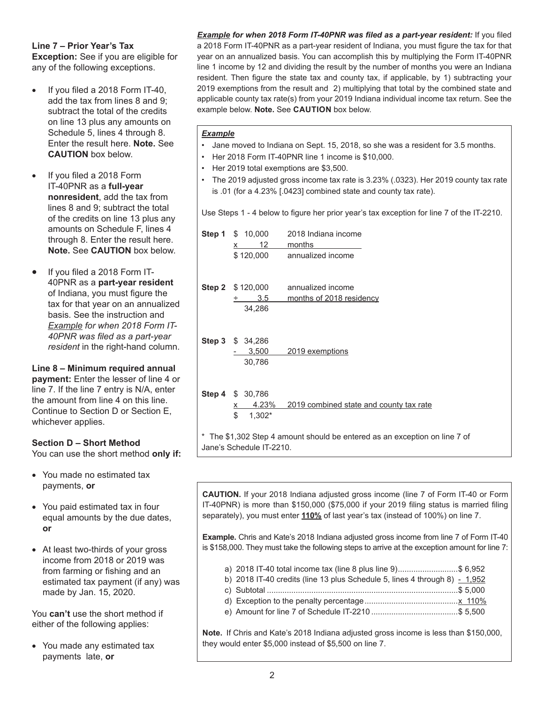## **Line 7 – Prior Year's Tax**

**Exception:** See if you are eligible for any of the following exceptions.

- If you filed a 2018 Form IT-40, add the tax from lines 8 and 9; subtract the total of the credits on line 13 plus any amounts on Schedule 5, lines 4 through 8. Enter the result here. **Note.** See **CAUTION** box below.
- If you filed a 2018 Form IT-40PNR as a **full-year nonresident**, add the tax from lines 8 and 9; subtract the total of the credits on line 13 plus any amounts on Schedule F, lines 4 through 8. Enter the result here. **Note.** See **CAUTION** box below.
- If you filed a 2018 Form IT-40PNR as a **part-year resident**  of Indiana, you must figure the tax for that year on an annualized basis. See the instruction and *Example for when 2018 Form IT-40PNR was filed as a part-year resident* in the right-hand column.

#### **Line 8 – Minimum required annual payment:** Enter the lesser of line 4 or line 7. If the line 7 entry is N/A, enter the amount from line 4 on this line. Continue to Section D or Section E, whichever applies.

# **Section D – Short Method**

You can use the short method **only if:**

- You made no estimated tax payments, **or**
- You paid estimated tax in four equal amounts by the due dates, **or**
- At least two-thirds of your gross income from 2018 or 2019 was from farming or fishing and an estimated tax payment (if any) was made by Jan. 15, 2020.

You **can't** use the short method if either of the following applies:

• You made any estimated tax payments late, **or**

*Example for when 2018 Form IT-40PNR was filed as a part-year resident:* If you filed a 2018 Form IT-40PNR as a part-year resident of Indiana, you must figure the tax for that year on an annualized basis. You can accomplish this by multiplying the Form IT-40PNR line 1 income by 12 and dividing the result by the number of months you were an Indiana resident. Then figure the state tax and county tax, if applicable, by 1) subtracting your 2019 exemptions from the result and 2) multiplying that total by the combined state and applicable county tax rate(s) from your 2019 Indiana individual income tax return. See the example below. **Note.** See **CAUTION** box below.

## *Example*

- Jane moved to Indiana on Sept. 15, 2018, so she was a resident for 3.5 months.
- Her 2018 Form IT-40PNR line 1 income is \$10,000.
- Her 2019 total exemptions are \$3,500.
- The 2019 adjusted gross income tax rate is 3.23% (.0323). Her 2019 county tax rate is .01 (for a 4.23% [.0423] combined state and county tax rate).

Use Steps 1 - 4 below to figure her prior year's tax exception for line 7 of the IT-2210.

| <b>Step 1</b> $$ 10,000$<br>12<br>$\mathsf{x}$ and $\mathsf{x}$ | 2018 Indiana income<br>months                                              |
|-----------------------------------------------------------------|----------------------------------------------------------------------------|
| \$120,000                                                       | annualized income                                                          |
| <b>Step 2</b> $$120,000$<br>3.5<br>34,286                       | annualized income<br>months of 2018 residency                              |
| Step 3 \$ 34,286<br>3,500<br>30,786                             | 2019 exemptions                                                            |
| Step 4 \$ 30,786<br>4.23%<br><u>x</u><br>\$<br>$1,302*$         | 2019 combined state and county tax rate                                    |
| Jane's Schedule IT-2210.                                        | * The \$1,302 Step 4 amount should be entered as an exception on line 7 of |

**CAUTION.** If your 2018 Indiana adjusted gross income (line 7 of Form IT-40 or Form IT-40PNR) is more than \$150,000 (\$75,000 if your 2019 filing status is married filing separately), you must enter **110%** of last year's tax (instead of 100%) on line 7.

**Example.** Chris and Kate's 2018 Indiana adjusted gross income from line 7 of Form IT-40 is \$158,000. They must take the following steps to arrive at the exception amount for line 7:

- a) 2018 IT-40 total income tax (line 8 plus line 9)...........................\$ 6,952
- b) 2018 IT-40 credits (line 13 plus Schedule 5, lines 4 through 8)  $-1,952$
- c) Subtotal ......................................................................................\$ 5,000
- d) Exception to the penalty percentage..........................................x 110%
- e) Amount for line 7 of Schedule IT-2210 .......................................\$ 5,500

**Note.** If Chris and Kate's 2018 Indiana adjusted gross income is less than \$150,000, they would enter \$5,000 instead of \$5,500 on line 7.